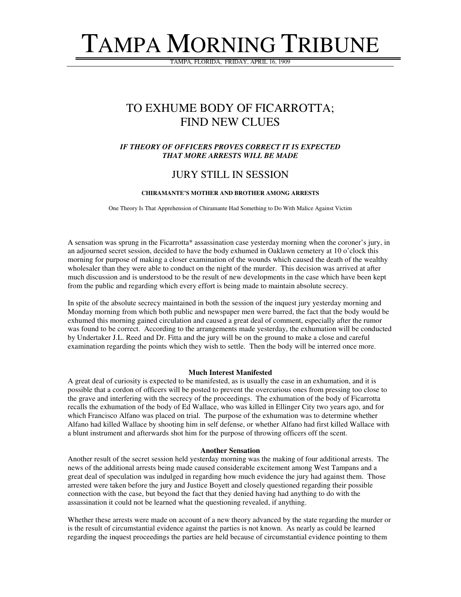# TAMPA MORNING TRIBUNE

TAMPA, FLORIDA, FRIDAY, APRIL 16, 1909

## TO EXHUME BODY OF FICARROTTA; FIND NEW CLUES

#### *IF THEORY OF OFFICERS PROVES CORRECT IT IS EXPECTED THAT MORE ARRESTS WILL BE MADE*

### JURY STILL IN SESSION

#### **CHIRAMANTE'S MOTHER AND BROTHER AMONG ARRESTS**

One Theory Is That Apprehension of Chiramante Had Something to Do With Malice Against Victim

A sensation was sprung in the Ficarrotta\* assassination case yesterday morning when the coroner's jury, in an adjourned secret session, decided to have the body exhumed in Oaklawn cemetery at 10 o'clock this morning for purpose of making a closer examination of the wounds which caused the death of the wealthy wholesaler than they were able to conduct on the night of the murder. This decision was arrived at after much discussion and is understood to be the result of new developments in the case which have been kept from the public and regarding which every effort is being made to maintain absolute secrecy.

In spite of the absolute secrecy maintained in both the session of the inquest jury yesterday morning and Monday morning from which both public and newspaper men were barred, the fact that the body would be exhumed this morning gained circulation and caused a great deal of comment, especially after the rumor was found to be correct. According to the arrangements made yesterday, the exhumation will be conducted by Undertaker J.L. Reed and Dr. Fitta and the jury will be on the ground to make a close and careful examination regarding the points which they wish to settle. Then the body will be interred once more.

#### **Much Interest Manifested**

A great deal of curiosity is expected to be manifested, as is usually the case in an exhumation, and it is possible that a cordon of officers will be posted to prevent the overcurious ones from pressing too close to the grave and interfering with the secrecy of the proceedings. The exhumation of the body of Ficarrotta recalls the exhumation of the body of Ed Wallace, who was killed in Ellinger City two years ago, and for which Francisco Alfano was placed on trial. The purpose of the exhumation was to determine whether Alfano had killed Wallace by shooting him in self defense, or whether Alfano had first killed Wallace with a blunt instrument and afterwards shot him for the purpose of throwing officers off the scent.

#### **Another Sensation**

Another result of the secret session held yesterday morning was the making of four additional arrests. The news of the additional arrests being made caused considerable excitement among West Tampans and a great deal of speculation was indulged in regarding how much evidence the jury had against them. Those arrested were taken before the jury and Justice Boyett and closely questioned regarding their possible connection with the case, but beyond the fact that they denied having had anything to do with the assassination it could not be learned what the questioning revealed, if anything.

Whether these arrests were made on account of a new theory advanced by the state regarding the murder or is the result of circumstantial evidence against the parties is not known. As nearly as could be learned regarding the inquest proceedings the parties are held because of circumstantial evidence pointing to them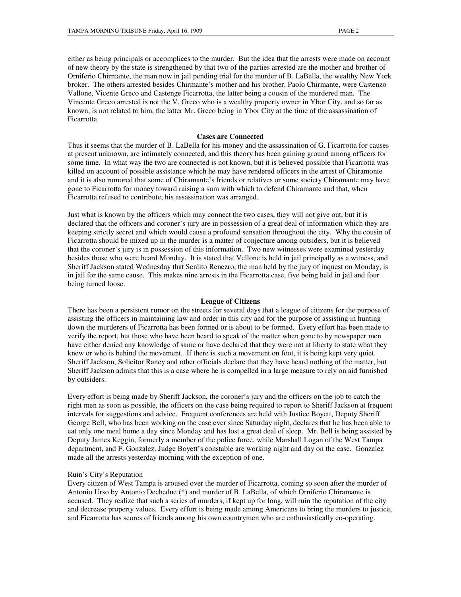either as being principals or accomplices to the murder. But the idea that the arrests were made on account of new theory by the state is strengthened by that two of the parties arrested are the mother and brother of Orniferio Chirmante, the man now in jail pending trial for the murder of B. LaBella, the wealthy New York broker. The others arrested besides Chirmante's mother and his brother, Paolo Chirmante, were Castenzo Vallone, Vicente Greco and Castenge Ficarrotta, the latter being a cousin of the murdered man. The Vincente Greco arrested is not the V. Greco who is a wealthy property owner in Ybor City, and so far as known, is not related to him, the latter Mr. Greco being in Ybor City at the time of the assassination of Ficarrotta.

#### **Cases are Connected**

Thus it seems that the murder of B. LaBella for his money and the assassination of G. Ficarrotta for causes at present unknown, are intimately connected, and this theory has been gaining ground among officers for some time. In what way the two are connected is not known, but it is believed possible that Ficarrotta was killed on account of possible assistance which he may have rendered officers in the arrest of Chiramonte and it is also rumored that some of Chiramante's friends or relatives or some society Chiramante may have gone to Ficarrotta for money toward raising a sum with which to defend Chiramante and that, when Ficarrotta refused to contribute, his assassination was arranged.

Just what is known by the officers which may connect the two cases, they will not give out, but it is declared that the officers and coroner's jury are in possession of a great deal of information which they are keeping strictly secret and which would cause a profound sensation throughout the city. Why the cousin of Ficarrotta should be mixed up in the murder is a matter of conjecture among outsiders, but it is believed that the coroner's jury is in possession of this information. Two new witnesses were examined yesterday besides those who were heard Monday. It is stated that Vellone is held in jail principally as a witness, and Sheriff Jackson stated Wednesday that Senlito Renezro, the man held by the jury of inquest on Monday, is in jail for the same cause. This makes nine arrests in the Ficarrotta case, five being held in jail and four being turned loose.

#### **League of Citizens**

There has been a persistent rumor on the streets for several days that a league of citizens for the purpose of assisting the officers in maintaining law and order in this city and for the purpose of assisting in hunting down the murderers of Ficarrotta has been formed or is about to be formed. Every effort has been made to verify the report, but those who have been heard to speak of the matter when gone to by newspaper men have either denied any knowledge of same or have declared that they were not at liberty to state what they knew or who is behind the movement. If there is such a movement on foot, it is being kept very quiet. Sheriff Jackson, Solicitor Raney and other officials declare that they have heard nothing of the matter, but Sheriff Jackson admits that this is a case where he is compelled in a large measure to rely on aid furnished by outsiders.

Every effort is being made by Sheriff Jackson, the coroner's jury and the officers on the job to catch the right men as soon as possible, the officers on the case being required to report to Sheriff Jackson at frequent intervals for suggestions and advice. Frequent conferences are held with Justice Boyett, Deputy Sheriff George Bell, who has been working on the case ever since Saturday night, declares that he has been able to eat only one meal home a day since Monday and has lost a great deal of sleep. Mr. Bell is being assisted by Deputy James Keggin, formerly a member of the police force, while Marshall Logan of the West Tampa department, and F. Gonzalez, Judge Boyett's constable are working night and day on the case. Gonzalez made all the arrests yesterday morning with the exception of one.

#### Ruin's City's Reputation

Every citizen of West Tampa is aroused over the murder of Ficarrotta, coming so soon after the murder of Antonio Urso by Antonio Dechedue (\*) and murder of B. LaBella, of which Orniferio Chiramante is accused. They realize that such a series of murders, if kept up for long, will ruin the reputation of the city and decrease property values. Every effort is being made among Americans to bring the murders to justice, and Ficarrotta has scores of friends among his own countrymen who are enthusiastically co-operating.